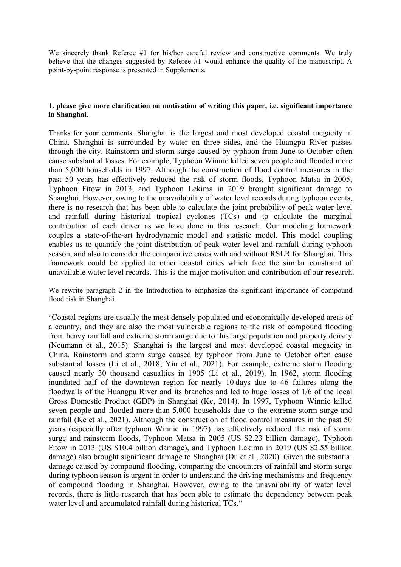We sincerely thank Referee #1 for his/her careful review and constructive comments. We truly believe that the changes suggested by Referee #1 would enhance the quality of the manuscript. A point-by-point response is presented in Supplements.

# **1. please give more clarification on motivation of writing this paper, i.e. significant importance in Shanghai.**

Thanks for your comments. Shanghai is the largest and most developed coastal megacity in China. Shanghai is surrounded by water on three sides, and the Huangpu River passes through the city. Rainstorm and storm surge caused by typhoon from June to October often cause substantial losses. For example, Typhoon Winnie killed seven people and flooded more than 5,000 households in 1997. Although the construction of flood control measures in the past 50 years has effectively reduced the risk of storm floods, Typhoon Matsa in 2005, Typhoon Fitow in 2013, and Typhoon Lekima in 2019 brought significant damage to Shanghai. However, owing to the unavailability of water level records during typhoon events, there is no research that has been able to calculate the joint probability of peak water level and rainfall during historical tropical cyclones (TCs) and to calculate the marginal contribution of each driver as we have done in this research. Our modeling framework couples a state-of-the-art hydrodynamic model and statistic model. This model coupling enables us to quantify the joint distribution of peak water level and rainfall during typhoon season, and also to consider the comparative cases with and without RSLR for Shanghai. This framework could be applied to other coastal cities which face the similar constraint of unavailable water level records. This is the major motivation and contribution of our research.

We rewrite paragraph 2 in the Introduction to emphasize the significant importance of compound flood risk in Shanghai.

"Coastal regions are usually the most densely populated and economically developed areas of a country, and they are also the most vulnerable regions to the risk of compound flooding from heavy rainfall and extreme storm surge due to this large population and property density (Neumann et al., 2015). Shanghai is the largest and most developed coastal megacity in China. Rainstorm and storm surge caused by typhoon from June to October often cause substantial losses (Li et al., 2018; Yin et al., 2021). For example, extreme storm flooding caused nearly 30 thousand casualties in 1905 (Li et al., 2019). In 1962, storm flooding inundated half of the downtown region for nearly 10 days due to 46 failures along the floodwalls of the Huangpu River and its branches and led to huge losses of 1/6 of the local Gross Domestic Product (GDP) in Shanghai (Ke, 2014). In 1997, Typhoon Winnie killed seven people and flooded more than 5,000 households due to the extreme storm surge and rainfall (Ke et al., 2021). Although the construction of flood control measures in the past 50 years (especially after typhoon Winnie in 1997) has effectively reduced the risk of storm surge and rainstorm floods, Typhoon Matsa in 2005 (US \$2.23 billion damage), Typhoon Fitow in 2013 (US \$10.4 billion damage), and Typhoon Lekima in 2019 (US \$2.55 billion damage) also brought significant damage to Shanghai (Du et al., 2020). Given the substantial damage caused by compound flooding, comparing the encounters of rainfall and storm surge during typhoon season is urgent in order to understand the driving mechanisms and frequency of compound flooding in Shanghai. However, owing to the unavailability of water level records, there is little research that has been able to estimate the dependency between peak water level and accumulated rainfall during historical TCs."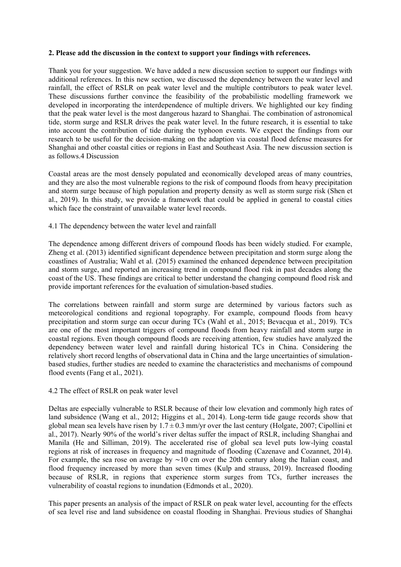#### **2. Please add the discussion in the context to support your findings with references.**

Thank you for your suggestion. We have added a new discussion section to support our findings with additional references. In this new section, we discussed the dependency between the water level and rainfall, the effect of RSLR on peak water level and the multiple contributors to peak water level. These discussions further convince the feasibility of the probabilistic modelling framework we developed in incorporating the interdependence of multiple drivers. We highlighted our key finding that the peak water level is the most dangerous hazard to Shanghai. The combination of astronomical tide, storm surge and RSLR drives the peak water level. In the future research, it is essential to take into account the contribution of tide during the typhoon events. We expect the findings from our research to be useful for the decision-making on the adaption via coastal flood defense measures for Shanghai and other coastal cities or regions in East and Southeast Asia. The new discussion section is as follows.4 Discussion

Coastal areas are the most densely populated and economically developed areas of many countries, and they are also the most vulnerable regions to the risk of compound floods from heavy precipitation and storm surge because of high population and property density as well as storm surge risk (Shen et al., 2019). In this study, we provide a framework that could be applied in general to coastal cities which face the constraint of unavailable water level records.

## 4.1 The dependency between the water level and rainfall

The dependence among different drivers of compound floods has been widely studied. For example, Zheng et al. (2013) identified significant dependence between precipitation and storm surge along the coastlines of Australia; Wahl et al. (2015) examined the enhanced dependence between precipitation and storm surge, and reported an increasing trend in compound flood risk in past decades along the coast of the US. These findings are critical to better understand the changing compound flood risk and provide important references for the evaluation of simulation-based studies.

The correlations between rainfall and storm surge are determined by various factors such as meteorological conditions and regional topography. For example, compound floods from heavy precipitation and storm surge can occur during TCs (Wahl et al., 2015; Bevacqua et al., 2019). TCs are one of the most important triggers of compound floods from heavy rainfall and storm surge in coastal regions. Even though compound floods are receiving attention, few studies have analyzed the dependency between water level and rainfall during historical TCs in China. Considering the relatively short record lengths of observational data in China and the large uncertainties of simulationbased studies, further studies are needed to examine the characteristics and mechanisms of compound flood events (Fang et al., 2021).

## 4.2 The effect of RSLR on peak water level

Deltas are especially vulnerable to RSLR because of their low elevation and commonly high rates of land subsidence (Wang et al., 2012; Higgins et al., 2014). Long-term tide gauge records show that global mean sea levels have risen by  $1.7 \pm 0.3$  mm/yr over the last century (Holgate, 2007; Cipollini et al., 2017). Nearly 90% of the world's river deltas suffer the impact of RSLR, including Shanghai and Manila (He and Silliman, 2019). The accelerated rise of global sea level puts low-lying coastal regions at risk of increases in frequency and magnitude of flooding (Cazenave and Cozannet, 2014). For example, the sea rose on average by ∼10 cm over the 20th century along the Italian coast, and flood frequency increased by more than seven times (Kulp and strauss, 2019). Increased flooding because of RSLR, in regions that experience storm surges from TCs, further increases the vulnerability of coastal regions to inundation (Edmonds et al., 2020).

This paper presents an analysis of the impact of RSLR on peak water level, accounting for the effects of sea level rise and land subsidence on coastal flooding in Shanghai. Previous studies of Shanghai